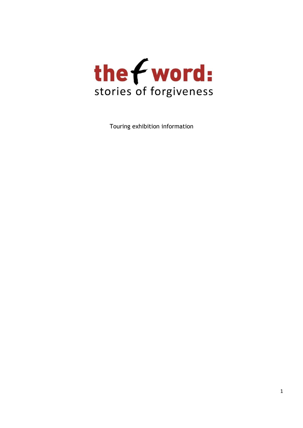

Touring exhibition information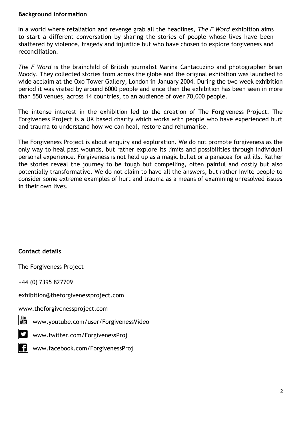# **Background information**

In a world where retaliation and revenge grab all the headlines, *The F Word* exhibition aims to start a different conversation by sharing the stories of people whose lives have been shattered by violence, tragedy and injustice but who have chosen to explore forgiveness and reconciliation.

*The F Word* is the brainchild of British journalist Marina Cantacuzino and photographer Brian Moody. They collected stories from across the globe and the original exhibition was launched to wide acclaim at the Oxo Tower Gallery, London in January 2004. During the two week exhibition period it was visited by around 6000 people and since then the exhibition has been seen in more than 550 venues, across 14 countries, to an audience of over 70,000 people.

The intense interest in the exhibition led to the creation of The Forgiveness Project. The Forgiveness Project is a UK based charity which works with people who have experienced hurt and trauma to understand how we can heal, restore and rehumanise.

The Forgiveness Project is about enquiry and exploration. We do not promote forgiveness as the only way to heal past wounds, but rather explore its limits and possibilities through individual personal experience. Forgiveness is not held up as a magic bullet or a panacea for all ills. Rather the stories reveal the journey to be tough but compelling, often painful and costly but also potentially transformative. We do not claim to have all the answers, but rather invite people to consider some extreme examples of hurt and trauma as a means of examining unresolved issues in their own lives.

# **Contact details**

The Forgiveness Project

+44 (0) 7395 827709

exhibition@theforgivenessproject.com

[www.theforgivenessproject.com](http://www.theforgivenessproject.com/)

<u>w[www.youtube.com/user/ForgivenessVideo](http://www.youtube.com/user/ForgivenessVideo)</u>

[www.twitter.com/ForgivenessProj](http://www.twitter.com/ForgivenessProj)

**1** [www.facebook.com/ForgivenessProj](http://www.facebook.com/ForgivenessProj)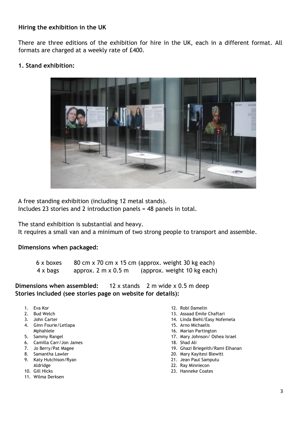# **Hiring the exhibition in the UK**

There are three editions of the exhibition for hire in the UK, each in a different format. All formats are charged at a weekly rate of £400.

## **1. Stand exhibition:**



A free standing exhibition (including 12 metal stands).

Includes 23 stories and 2 introduction panels = 48 panels in total.

The stand exhibition is substantial and heavy.

It requires a small van and a minimum of two strong people to transport and assemble.

#### **Dimensions when packaged:**

6 x boxes 80 cm x 70 cm x 15 cm (approx. weight 30 kg each) 4 x bags approx. 2 m x 0.5 m (approx. weight 10 kg each)

**Dimensions when assembled:** 12 x stands 2 m wide x 0.5 m deep **Stories included (see stories page on website for details):** 

- 1. Eva Kor
- 2. Bud Welch
- 3. John Carter
- 4. Ginn Fourie/Letlapa Mphahlele
- 5. Sammy Rangel
- 6. Camilla Carr/Jon James
- 7. Jo Berry/Pat Magee
- 8. Samantha Lawler
- 9. Katy Hutchison/Ryan Aldridge
- 10. Gill Hicks
- 11. Wilma Derksen
- 12. Robi Damelin
- 13. Assaad Emile Chaftari
- 14. Linda Biehl/Easy Nofemela
- 15. Arno Michaelis
- 16. Marian Partington
- 17. Mary Johnson/ Oshea Israel
- 18. Shad Ali
- 19. Ghazi Briegeith/Rami Elhanan
- 20. Mary Kayitesi Blewitt
- 21. Jean Paul Samputu
- 22. Ray Minniecon
- 23. Hanneke Coates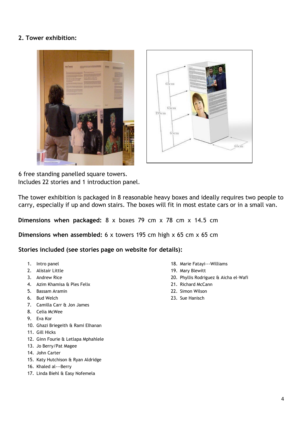# **2. Tower exhibition:**





Includes 22 stories and 1 introduction panel. 6 free standing panelled square towers.

The tower exhibition is packaged in 8 reasonable heavy boxes and ideally requires two people to carry, especially if up and down stairs. The boxes will fit in most estate cars or in a small van.

**Dimensions when packaged:** 8 x boxes 79 cm x 78 cm x 14.5 cm

**Dimensions when assembled:** 6 x towers 195 cm high x 65 cm x 65 cm

**Stories included (see stories page on website for details):** 

- 1. Intro panel
- 2. Alistair Little
- 3. Andrew Rice
- 4. Azim Khamisa & Ples Felix
- 5. Bassam Aramin
- 6. Bud Welch
- 7. Camilla Carr & Jon James
- 8. Celia McWee
- 9. Eva Kor
- 10. Ghazi Briegeith & Rami Elhanan
- 11. Gill Hicks
- 12. Ginn Fourie & Letlapa Mphahlele
- 13. Jo Berry/Pat Magee
- 14. John Carter
- 15. Katy Hutchison & Ryan Aldridge
- 16. Khaled al---Berry
- 17. Linda Biehl & Easy Nofemela
- 18. Marie Fatayi---Williams
- 19. Mary Blewitt
- 20. Phyllis Rodriguez & Aicha el‐Wafi
- 21. Richard McCann
- 22. Simon Wilson
- 23. Sue Hanisch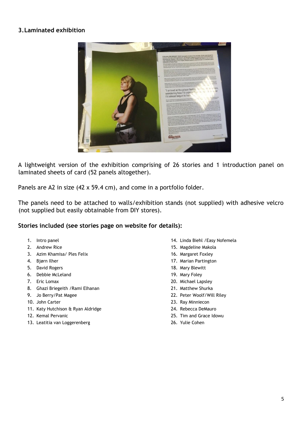## **3.Laminated exhibition**



A lightweight version of the exhibition comprising of 26 stories and 1 introduction panel on laminated sheets of card (52 panels altogether).

Panels are A2 in size (42 x 59.4 cm), and come in a portfolio folder.

The panels need to be attached to walls/exhibition stands (not supplied) with adhesive velcro (not supplied but easily obtainable from DIY stores).

#### **Stories included (see stories page on website for details):**

- 1. Intro panel
- 2. Andrew Rice
- 3. Azim Khamisa/ Ples Felix
- 4. Bjørn Ilher
- 5. David Rogers
- 6. Debbie McLeland
- 7. Eric Lomax
- 8. Ghazi Briegeith /Rami Elhanan
- 9. Jo Berry/Pat Magee
- 10. John Carter
- 11. Katy Hutchison & Ryan Aldridge
- 12. Kemal Pervanic
- 13. Leatitia van Loggerenberg
- 14. Linda Biehl /Easy Nofemela
- 15. Magdeline Makola
- 16. Margaret Foxley
- 17. Marian Partington
- 18. Mary Blewitt
- 19. Mary Foley
- 20. Michael Lapsley
- 21. Matthew Shurka
- 22. Peter Woolf/Will Riley
- 23. Ray Minniecon
- 24. Rebecca DeMauro
- 25. Tim and Grace Idowu
- 26. Yulie Cohen